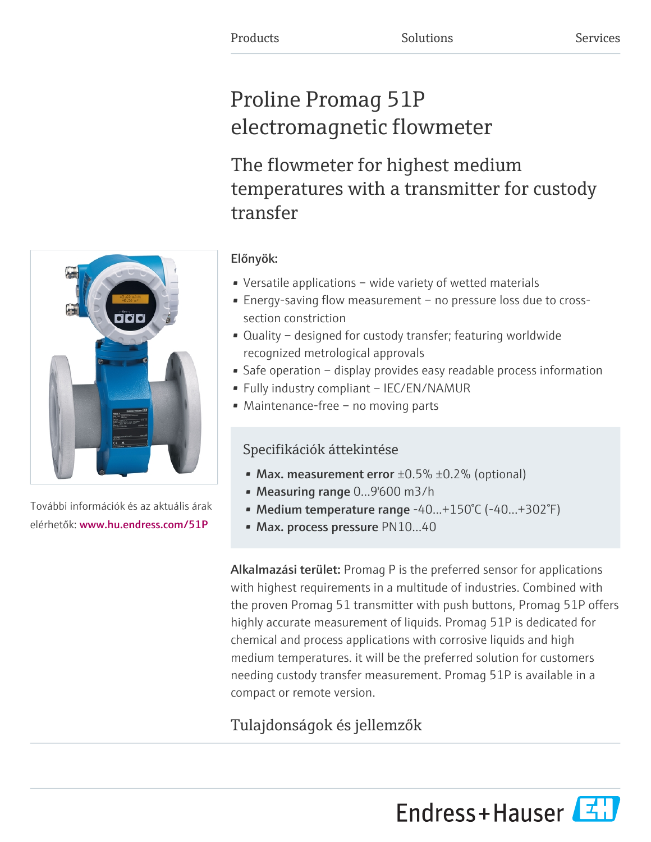# Proline Promag 51P electromagnetic flowmeter

The flowmeter for highest medium temperatures with a transmitter for custody transfer



További információk és az aktuális árak elérhetők: [www.hu.endress.com/51P](https://www.hu.endress.com/51P)

### Előnyök:

- Versatile applications wide variety of wetted materials
- Energy-saving flow measurement no pressure loss due to crosssection constriction
- Quality designed for custody transfer; featuring worldwide recognized metrological approvals
- Safe operation display provides easy readable process information
- Fully industry compliant IEC/EN/NAMUR
- Maintenance-free no moving parts

### Specifikációk áttekintése

- Max. measurement error  $\pm 0.5\%$   $\pm 0.2\%$  (optional)
- Measuring range 0...9'600 m3/h
- Medium temperature range -40...+150°C (-40...+302°F)
- Max. process pressure PN10...40

Alkalmazási terület: Promag P is the preferred sensor for applications with highest requirements in a multitude of industries. Combined with the proven Promag 51 transmitter with push buttons, Promag 51P offers highly accurate measurement of liquids. Promag 51P is dedicated for chemical and process applications with corrosive liquids and high medium temperatures. it will be the preferred solution for customers needing custody transfer measurement. Promag 51P is available in a compact or remote version.

## Tulajdonságok és jellemzők

Endress+Hauser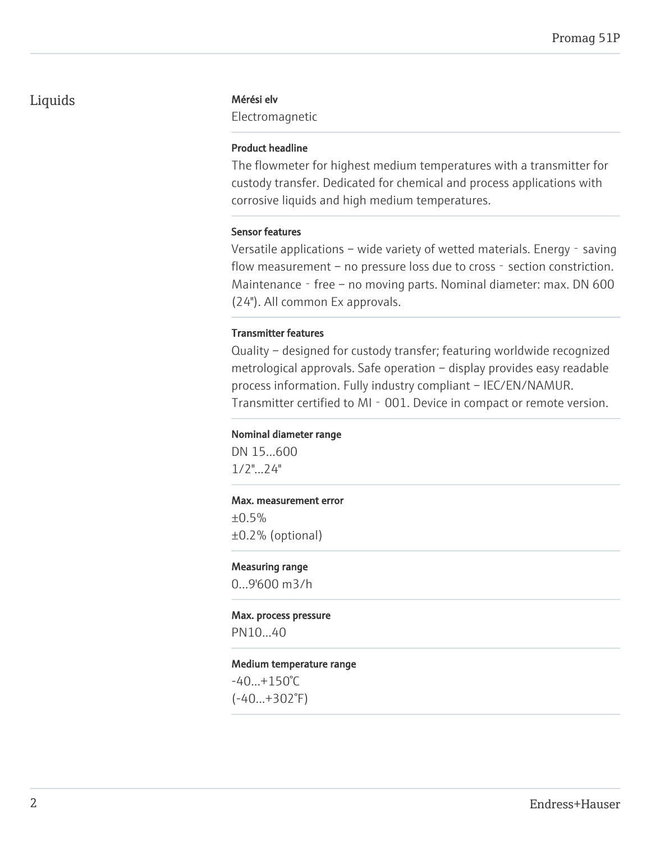### Liquids Mérési elv

Electromagnetic

#### Product headline

The flowmeter for highest medium temperatures with a transmitter for custody transfer. Dedicated for chemical and process applications with corrosive liquids and high medium temperatures.

#### Sensor features

Versatile applications – wide variety of wetted materials. Energy - saving flow measurement – no pressure loss due to cross - section constriction. Maintenance - free – no moving parts. Nominal diameter: max. DN 600 (24"). All common Ex approvals.

#### Transmitter features

Quality – designed for custody transfer; featuring worldwide recognized metrological approvals. Safe operation – display provides easy readable process information. Fully industry compliant – IEC/EN/NAMUR. Transmitter certified to MI - 001. Device in compact or remote version.

#### Nominal diameter range

DN 15...600 1/2"...24"

#### Max. measurement error

 $±0.5%$ ±0.2% (optional)

#### Measuring range

0...9'600 m3/h

#### Max. process pressure

PN10...40

#### Medium temperature range

 $-40...+150°C$ (-40...+302°F)